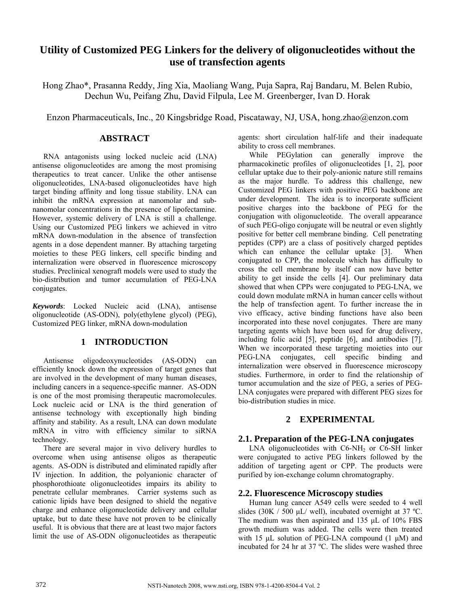# **Utility of Customized PEG Linkers for the delivery of oligonucleotides without the use of transfection agents**

Hong Zhao\*, Prasanna Reddy, Jing Xia, Maoliang Wang, Puja Sapra, Raj Bandaru, M. Belen Rubio, Dechun Wu, Peifang Zhu, David Filpula, Lee M. Greenberger, Ivan D. Horak

Enzon Pharmaceuticals, Inc., 20 Kingsbridge Road, Piscataway, NJ, USA, hong.zhao@enzon.com

## **ABSTRACT**

RNA antagonists using locked nucleic acid (LNA) antisense oligonucleotides are among the most promising therapeutics to treat cancer. Unlike the other antisense oligonucleotides, LNA-based oligonucleotides have high target binding affinity and long tissue stability. LNA can inhibit the mRNA expression at nanomolar and subnanomolar concentrations in the presence of lipofectamine. However, systemic delivery of LNA is still a challenge. Using our Customized PEG linkers we achieved in vitro mRNA down-modulation in the absence of transfection agents in a dose dependent manner. By attaching targeting moieties to these PEG linkers, cell specific binding and internalization were observed in fluorescence microscopy studies. Preclinical xenograft models were used to study the bio-distribution and tumor accumulation of PEG-LNA conjugates.

*Keywords*: Locked Nucleic acid (LNA), antisense oligonucleotide (AS-ODN), poly(ethylene glycol) (PEG), Customized PEG linker, mRNA down-modulation

## **1 INTRODUCTION**

Antisense oligodeoxynucleotides (AS-ODN) can efficiently knock down the expression of target genes that are involved in the development of many human diseases, including cancers in a sequence-specific manner. AS-ODN is one of the most promising therapeutic macromolecules. Lock nucleic acid or LNA is the third generation of antisense technology with exceptionally high binding affinity and stability. As a result, LNA can down modulate mRNA in vitro with efficiency similar to siRNA technology.

There are several major in vivo delivery hurdles to overcome when using antisense oligos as therapeutic agents. AS-ODN is distributed and eliminated rapidly after IV injection. In addition, the polyanionic character of phosphorothioate oligonucleotides impairs its ability to penetrate cellular membranes. Carrier systems such as cationic lipids have been designed to shield the negative charge and enhance oligonucleotide delivery and cellular uptake, but to date these have not proven to be clinically useful. It is obvious that there are at least two major factors limit the use of AS-ODN oligonucleotides as therapeutic agents: short circulation half-life and their inadequate ability to cross cell membranes.

While PEGylation can generally improve the pharmacokinetic profiles of oligonucleotides [1, 2], poor cellular uptake due to their poly-anionic nature still remains as the major hurdle. To address this challenge, new Customized PEG linkers with positive PEG backbone are under development. The idea is to incorporate sufficient positive charges into the backbone of PEG for the conjugation with oligonucleotide. The overall appearance of such PEG-oligo conjugate will be neutral or even slightly positive for better cell membrane binding. Cell penetrating peptides (CPP) are a class of positively charged peptides which can enhance the cellular uptake [3]. When conjugated to CPP, the molecule which has difficulty to cross the cell membrane by itself can now have better ability to get inside the cells [4]. Our preliminary data showed that when CPPs were conjugated to PEG-LNA, we could down modulate mRNA in human cancer cells without the help of transfection agent. To further increase the in vivo efficacy, active binding functions have also been incorporated into these novel conjugates. There are many targeting agents which have been used for drug delivery, including folic acid [5], peptide [6], and antibodies [7]. When we incorporated these targeting moieties into our PEG-LNA conjugates, cell specific binding and internalization were observed in fluorescence microscopy studies. Furthermore, in order to find the relationship of tumor accumulation and the size of PEG, a series of PEG-LNA conjugates were prepared with different PEG sizes for bio-distribution studies in mice.

## **2 EXPERIMENTAL**

## **2.1. Preparation of the PEG-LNA conjugates**

LNA oligonucleotides with  $C6-NH<sub>2</sub>$  or  $C6-SH$  linker were conjugated to active PEG linkers followed by the addition of targeting agent or CPP. The products were purified by ion-exchange column chromatography.

#### **2.2. Fluorescence Microscopy studies**

Human lung cancer A549 cells were seeded to 4 well slides (30K / 500 μL/ well), incubated overnight at 37 ºC. The medium was then aspirated and 135 μL of 10% FBS growth medium was added. The cells were then treated with 15  $\mu$ L solution of PEG-LNA compound (1  $\mu$ M) and incubated for 24 hr at 37 ºC. The slides were washed three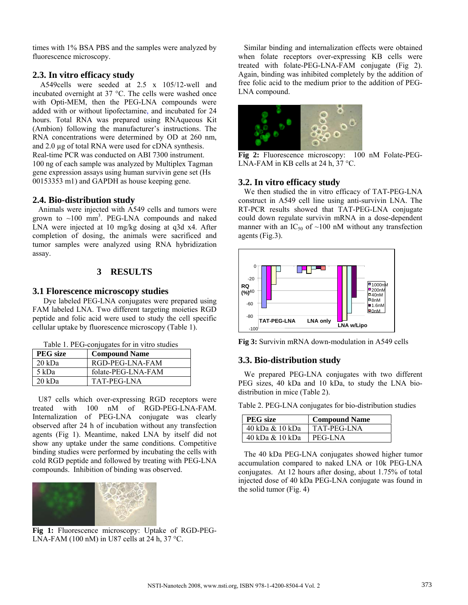times with 1% BSA PBS and the samples were analyzed by fluorescence microscopy.

### **2.3. In vitro efficacy study**

 A549cells were seeded at 2.5 x 105/12-well and incubated overnight at 37 °C. The cells were washed once with Opti-MEM, then the PEG-LNA compounds were added with or without lipofectamine, and incubated for 24 hours. Total RNA was prepared using RNAqueous Kit (Ambion) following the manufacturer's instructions. The RNA concentrations were determined by OD at 260 nm, and 2.0 µg of total RNA were used for cDNA synthesis. Real-time PCR was conducted on ABI 7300 instrument. 100 ng of each sample was analyzed by Multiplex Tagman gene expression assays using human survivin gene set (Hs 00153353 m1) and GAPDH as house keeping gene.

#### **2.4. Bio-distribution study**

 Animals were injected with A549 cells and tumors were grown to  $\sim$ 100 mm<sup>3</sup>. PEG-LNA compounds and naked LNA were injected at 10 mg/kg dosing at q3d x4. After completion of dosing, the animals were sacrificed and tumor samples were analyzed using RNA hybridization assay.

#### **3 RESULTS**

#### **3.1 Florescence microscopy studies**

Dye labeled PEG-LNA conjugates were prepared using FAM labeled LNA. Two different targeting moieties RGD peptide and folic acid were used to study the cell specific cellular uptake by fluorescence microscopy (Table 1).

Table 1. PEG-conjugates for in vitro studies

| <b>PEG</b> size | <b>Compound Name</b> |
|-----------------|----------------------|
| 20 kDa          | RGD-PEG-LNA-FAM      |
| 5 kDa           | folate-PEG-LNA-FAM   |
| 20 kDa          | TAT-PEG-LNA          |

 U87 cells which over-expressing RGD receptors were treated with 100 nM of RGD-PEG-LNA-FAM. Internalization of PEG-LNA conjugate was clearly observed after 24 h of incubation without any transfection agents (Fig 1). Meantime, naked LNA by itself did not show any uptake under the same conditions. Competitive binding studies were performed by incubating the cells with cold RGD peptide and followed by treating with PEG-LNA compounds. Inhibition of binding was observed.



 **Fig 1:** Fluorescence microscopy: Uptake of RGD-PEG-LNA-FAM (100 nM) in U87 cells at 24 h, 37 °C.

 Similar binding and internalization effects were obtained when folate receptors over-expressing KB cells were treated with folate-PEG-LNA-FAM conjugate (Fig 2). Again, binding was inhibited completely by the addition of free folic acid to the medium prior to the addition of PEG-LNA compound.



**Fig 2:** Fluorescence microscopy: 100 nM Folate-PEG-LNA-FAM in KB cells at 24 h, 37 °C.

#### **3.2. In vitro efficacy study**

 We then studied the in vitro efficacy of TAT-PEG-LNA construct in A549 cell line using anti-survivin LNA. The RT-PCR results showed that TAT-PEG-LNA conjugate could down regulate survivin mRNA in a dose-dependent manner with an IC<sub>50</sub> of  $\sim$ 100 nM without any transfection agents (Fig.3).



**Fig 3:** Survivin mRNA down-modulation in A549 cells

#### **3.3. Bio-distribution study**

 We prepared PEG-LNA conjugates with two different PEG sizes, 40 kDa and 10 kDa, to study the LNA biodistribution in mice (Table 2).

Table 2. PEG-LNA conjugates for bio-distribution studies

| <b>PEG</b> size           | <b>Compound Name</b> |
|---------------------------|----------------------|
| 40 kDa & 10 kDa           | TAT-PEG-LNA          |
| 40 kDa & 10 kDa   PEG-LNA |                      |

 The 40 kDa PEG-LNA conjugates showed higher tumor accumulation compared to naked LNA or 10k PEG-LNA conjugates. At 12 hours after dosing, about 1.75% of total injected dose of 40 kDa PEG-LNA conjugate was found in the solid tumor (Fig. 4)